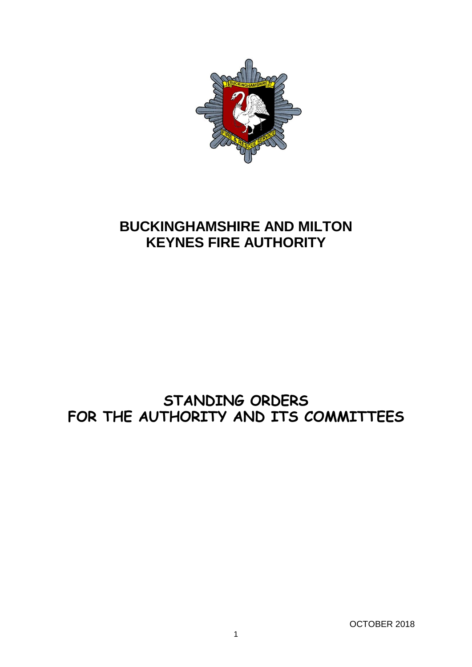

# **BUCKINGHAMSHIRE AND MILTON KEYNES FIRE AUTHORITY**

# **STANDING ORDERS FOR THE AUTHORITY AND ITS COMMITTEES**

OCTOBER 2018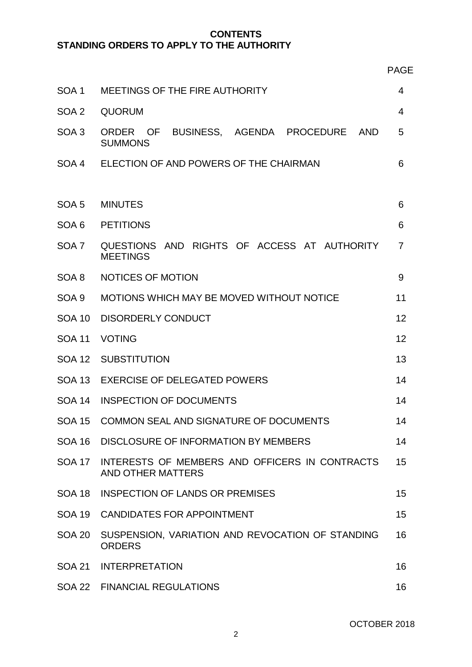# **CONTENTS STANDING ORDERS TO APPLY TO THE AUTHORITY**

| w<br>٩ |  |
|--------|--|

| SOA 1            | MEETINGS OF THE FIRE AUTHORITY                                                   |    |  |  |  |
|------------------|----------------------------------------------------------------------------------|----|--|--|--|
| SOA 2            | <b>QUORUM</b>                                                                    |    |  |  |  |
| SOA <sub>3</sub> | ORDER OF<br>BUSINESS, AGENDA PROCEDURE<br><b>AND</b><br><b>SUMMONS</b>           | 5  |  |  |  |
| SOA 4            | ELECTION OF AND POWERS OF THE CHAIRMAN                                           | 6  |  |  |  |
| SOA <sub>5</sub> | <b>MINUTES</b>                                                                   | 6  |  |  |  |
| SOA 6            | <b>PETITIONS</b>                                                                 |    |  |  |  |
| SOA 7            | QUESTIONS AND RIGHTS OF ACCESS AT AUTHORITY<br>$\overline{7}$<br><b>MEETINGS</b> |    |  |  |  |
| SOA 8            | NOTICES OF MOTION                                                                |    |  |  |  |
| SOA 9            | MOTIONS WHICH MAY BE MOVED WITHOUT NOTICE                                        |    |  |  |  |
| <b>SOA 10</b>    | <b>DISORDERLY CONDUCT</b>                                                        |    |  |  |  |
| <b>SOA 11</b>    | <b>VOTING</b>                                                                    |    |  |  |  |
| <b>SOA 12</b>    | <b>SUBSTITUTION</b>                                                              |    |  |  |  |
| <b>SOA 13</b>    | <b>EXERCISE OF DELEGATED POWERS</b>                                              |    |  |  |  |
| <b>SOA 14</b>    | <b>INSPECTION OF DOCUMENTS</b>                                                   |    |  |  |  |
| <b>SOA 15</b>    | COMMON SEAL AND SIGNATURE OF DOCUMENTS                                           |    |  |  |  |
|                  | SOA 16 DISCLOSURE OF INFORMATION BY MEMBERS                                      |    |  |  |  |
|                  | SOA 17 INTERESTS OF MEMBERS AND OFFICERS IN CONTRACTS<br>AND OTHER MATTERS       |    |  |  |  |
| <b>SOA 18</b>    | <b>INSPECTION OF LANDS OR PREMISES</b>                                           | 15 |  |  |  |
|                  | SOA 19 CANDIDATES FOR APPOINTMENT                                                | 15 |  |  |  |
| SOA 20           | SUSPENSION, VARIATION AND REVOCATION OF STANDING<br><b>ORDERS</b>                | 16 |  |  |  |
| <b>SOA 21</b>    | <b>INTERPRETATION</b>                                                            | 16 |  |  |  |
|                  | SOA 22 FINANCIAL REGULATIONS                                                     | 16 |  |  |  |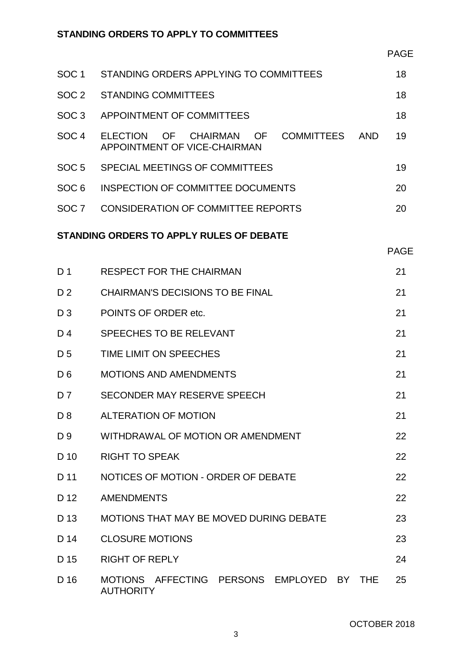# **STANDING ORDERS TO APPLY TO COMMITTEES**

| SOC <sub>1</sub>                         | STANDING ORDERS APPLYING TO COMMITTEES                                                                  | 18          |  |  |  |
|------------------------------------------|---------------------------------------------------------------------------------------------------------|-------------|--|--|--|
| SOC <sub>2</sub>                         | <b>STANDING COMMITTEES</b>                                                                              | 18          |  |  |  |
| SOC <sub>3</sub>                         | APPOINTMENT OF COMMITTEES                                                                               | 18          |  |  |  |
| SOC <sub>4</sub>                         | - OF<br><b>COMMITTEES</b><br><b>ELECTION</b><br>OF .<br>CHAIRMAN<br>AND<br>APPOINTMENT OF VICE-CHAIRMAN | 19          |  |  |  |
| SOC <sub>5</sub>                         | SPECIAL MEETINGS OF COMMITTEES                                                                          | 19          |  |  |  |
| SOC <sub>6</sub>                         | <b>INSPECTION OF COMMITTEE DOCUMENTS</b>                                                                | 20          |  |  |  |
| SOC <sub>7</sub>                         | <b>CONSIDERATION OF COMMITTEE REPORTS</b>                                                               | 20          |  |  |  |
| STANDING ORDERS TO APPLY RULES OF DEBATE |                                                                                                         |             |  |  |  |
|                                          |                                                                                                         | <b>PAGE</b> |  |  |  |
| D <sub>1</sub>                           | <b>RESPECT FOR THE CHAIRMAN</b>                                                                         | 21          |  |  |  |

| D <sub>2</sub> | <b>CHAIRMAN'S DECISIONS TO BE FINAL</b>                                    | 21 |  |  |
|----------------|----------------------------------------------------------------------------|----|--|--|
| $D_3$          | POINTS OF ORDER etc.                                                       |    |  |  |
| D4             | SPEECHES TO BE RELEVANT                                                    |    |  |  |
| D <sub>5</sub> | TIME LIMIT ON SPEECHES                                                     |    |  |  |
| D <sub>6</sub> | <b>MOTIONS AND AMENDMENTS</b>                                              |    |  |  |
| D 7            | SECONDER MAY RESERVE SPEECH                                                |    |  |  |
| D <sub>8</sub> | <b>ALTERATION OF MOTION</b>                                                |    |  |  |
| D 9            | WITHDRAWAL OF MOTION OR AMENDMENT                                          |    |  |  |
| D 10           | <b>RIGHT TO SPEAK</b>                                                      | 22 |  |  |
| D 11           | NOTICES OF MOTION - ORDER OF DEBATE<br>22                                  |    |  |  |
| D 12           | <b>AMENDMENTS</b>                                                          |    |  |  |
| D 13           | MOTIONS THAT MAY BE MOVED DURING DEBATE                                    | 23 |  |  |
| D 14           | <b>CLOSURE MOTIONS</b>                                                     | 23 |  |  |
| D 15           | <b>RIGHT OF REPLY</b>                                                      | 24 |  |  |
| D 16           | AFFECTING PERSONS EMPLOYED BY<br><b>MOTIONS</b><br>THF<br><b>AUTHORITY</b> | 25 |  |  |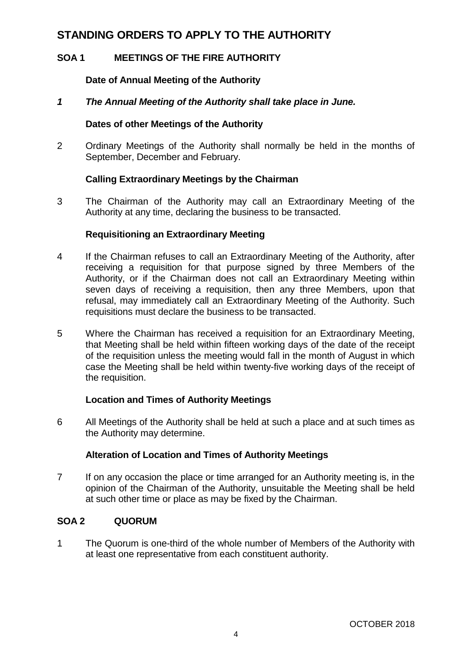# **STANDING ORDERS TO APPLY TO THE AUTHORITY**

# **SOA 1 MEETINGS OF THE FIRE AUTHORITY**

# **Date of Annual Meeting of the Authority**

# *1 The Annual Meeting of the Authority shall take place in June.*

### **Dates of other Meetings of the Authority**

2 Ordinary Meetings of the Authority shall normally be held in the months of September, December and February.

# **Calling Extraordinary Meetings by the Chairman**

3 The Chairman of the Authority may call an Extraordinary Meeting of the Authority at any time, declaring the business to be transacted.

# **Requisitioning an Extraordinary Meeting**

- 4 If the Chairman refuses to call an Extraordinary Meeting of the Authority, after receiving a requisition for that purpose signed by three Members of the Authority, or if the Chairman does not call an Extraordinary Meeting within seven days of receiving a requisition, then any three Members, upon that refusal, may immediately call an Extraordinary Meeting of the Authority. Such requisitions must declare the business to be transacted.
- 5 Where the Chairman has received a requisition for an Extraordinary Meeting, that Meeting shall be held within fifteen working days of the date of the receipt of the requisition unless the meeting would fall in the month of August in which case the Meeting shall be held within twenty-five working days of the receipt of the requisition.

# **Location and Times of Authority Meetings**

6 All Meetings of the Authority shall be held at such a place and at such times as the Authority may determine.

# **Alteration of Location and Times of Authority Meetings**

7 If on any occasion the place or time arranged for an Authority meeting is, in the opinion of the Chairman of the Authority, unsuitable the Meeting shall be held at such other time or place as may be fixed by the Chairman.

# **SOA 2 QUORUM**

1 The Quorum is one-third of the whole number of Members of the Authority with at least one representative from each constituent authority.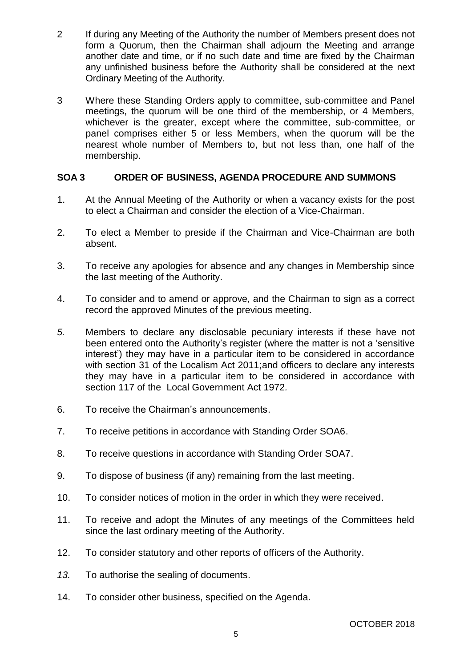- 2 If during any Meeting of the Authority the number of Members present does not form a Quorum, then the Chairman shall adjourn the Meeting and arrange another date and time, or if no such date and time are fixed by the Chairman any unfinished business before the Authority shall be considered at the next Ordinary Meeting of the Authority.
- 3 Where these Standing Orders apply to committee, sub-committee and Panel meetings, the quorum will be one third of the membership, or 4 Members, whichever is the greater, except where the committee, sub-committee, or panel comprises either 5 or less Members, when the quorum will be the nearest whole number of Members to, but not less than, one half of the membership.

# **SOA 3 ORDER OF BUSINESS, AGENDA PROCEDURE AND SUMMONS**

- 1. At the Annual Meeting of the Authority or when a vacancy exists for the post to elect a Chairman and consider the election of a Vice-Chairman.
- 2. To elect a Member to preside if the Chairman and Vice-Chairman are both absent.
- 3. To receive any apologies for absence and any changes in Membership since the last meeting of the Authority.
- 4. To consider and to amend or approve, and the Chairman to sign as a correct record the approved Minutes of the previous meeting.
- *5.* Members to declare any disclosable pecuniary interests if these have not been entered onto the Authority's register (where the matter is not a 'sensitive interest') they may have in a particular item to be considered in accordance with section 31 of the Localism Act 2011;and officers to declare any interests they may have in a particular item to be considered in accordance with section 117 of the Local Government Act 1972*.*
- 6. To receive the Chairman's announcements.
- 7. To receive petitions in accordance with Standing Order SOA6.
- 8. To receive questions in accordance with Standing Order SOA7.
- 9. To dispose of business (if any) remaining from the last meeting.
- 10. To consider notices of motion in the order in which they were received.
- 11. To receive and adopt the Minutes of any meetings of the Committees held since the last ordinary meeting of the Authority.
- 12. To consider statutory and other reports of officers of the Authority.
- *13.* To authorise the sealing of documents.
- 14. To consider other business, specified on the Agenda.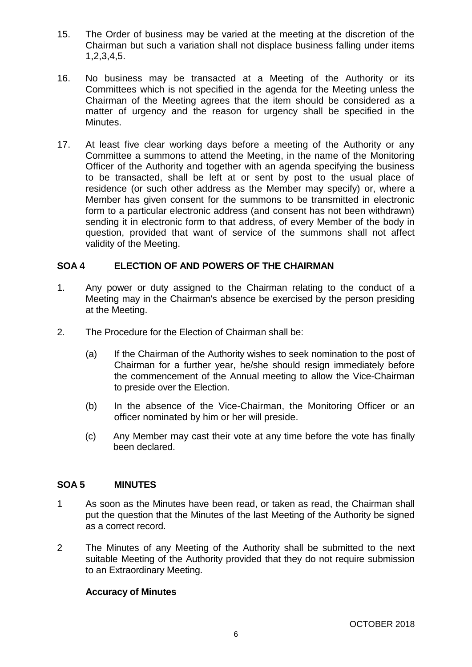- 15. The Order of business may be varied at the meeting at the discretion of the Chairman but such a variation shall not displace business falling under items 1,2,3,4,5.
- 16. No business may be transacted at a Meeting of the Authority or its Committees which is not specified in the agenda for the Meeting unless the Chairman of the Meeting agrees that the item should be considered as a matter of urgency and the reason for urgency shall be specified in the Minutes.
- 17. At least five clear working days before a meeting of the Authority or any Committee a summons to attend the Meeting, in the name of the Monitoring Officer of the Authority and together with an agenda specifying the business to be transacted, shall be left at or sent by post to the usual place of residence (or such other address as the Member may specify) or, where a Member has given consent for the summons to be transmitted in electronic form to a particular electronic address (and consent has not been withdrawn) sending it in electronic form to that address, of every Member of the body in question, provided that want of service of the summons shall not affect validity of the Meeting.

# **SOA 4 ELECTION OF AND POWERS OF THE CHAIRMAN**

- 1. Any power or duty assigned to the Chairman relating to the conduct of a Meeting may in the Chairman's absence be exercised by the person presiding at the Meeting.
- 2. The Procedure for the Election of Chairman shall be:
	- (a) If the Chairman of the Authority wishes to seek nomination to the post of Chairman for a further year, he/she should resign immediately before the commencement of the Annual meeting to allow the Vice-Chairman to preside over the Election.
	- (b) In the absence of the Vice-Chairman, the Monitoring Officer or an officer nominated by him or her will preside.
	- (c) Any Member may cast their vote at any time before the vote has finally been declared.

#### **SOA 5 MINUTES**

- 1 As soon as the Minutes have been read, or taken as read, the Chairman shall put the question that the Minutes of the last Meeting of the Authority be signed as a correct record.
- 2 The Minutes of any Meeting of the Authority shall be submitted to the next suitable Meeting of the Authority provided that they do not require submission to an Extraordinary Meeting.

# **Accuracy of Minutes**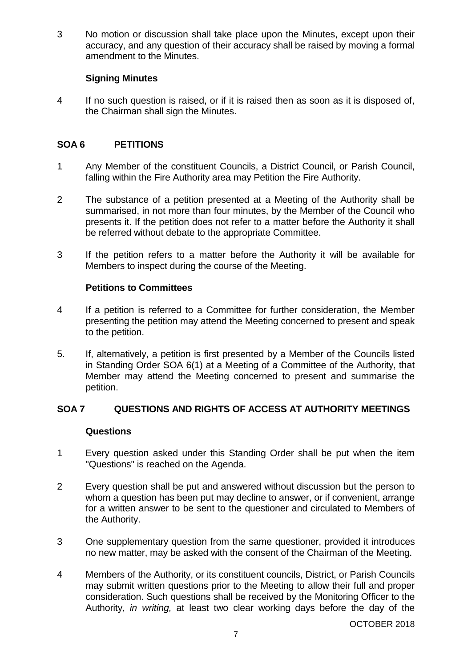3 No motion or discussion shall take place upon the Minutes, except upon their accuracy, and any question of their accuracy shall be raised by moving a formal amendment to the Minutes.

# **Signing Minutes**

4 If no such question is raised, or if it is raised then as soon as it is disposed of, the Chairman shall sign the Minutes.

# **SOA 6 PETITIONS**

- 1 Any Member of the constituent Councils, a District Council, or Parish Council, falling within the Fire Authority area may Petition the Fire Authority.
- 2 The substance of a petition presented at a Meeting of the Authority shall be summarised, in not more than four minutes, by the Member of the Council who presents it. If the petition does not refer to a matter before the Authority it shall be referred without debate to the appropriate Committee.
- 3 If the petition refers to a matter before the Authority it will be available for Members to inspect during the course of the Meeting.

# **Petitions to Committees**

- 4 If a petition is referred to a Committee for further consideration, the Member presenting the petition may attend the Meeting concerned to present and speak to the petition.
- 5. If, alternatively, a petition is first presented by a Member of the Councils listed in Standing Order SOA 6(1) at a Meeting of a Committee of the Authority, that Member may attend the Meeting concerned to present and summarise the petition.

# **SOA 7 QUESTIONS AND RIGHTS OF ACCESS AT AUTHORITY MEETINGS**

# **Questions**

- 1 Every question asked under this Standing Order shall be put when the item "Questions" is reached on the Agenda.
- 2 Every question shall be put and answered without discussion but the person to whom a question has been put may decline to answer, or if convenient, arrange for a written answer to be sent to the questioner and circulated to Members of the Authority.
- 3 One supplementary question from the same questioner, provided it introduces no new matter, may be asked with the consent of the Chairman of the Meeting.
- 4 Members of the Authority, or its constituent councils, District, or Parish Councils may submit written questions prior to the Meeting to allow their full and proper consideration. Such questions shall be received by the Monitoring Officer to the Authority, *in writing,* at least two clear working days before the day of the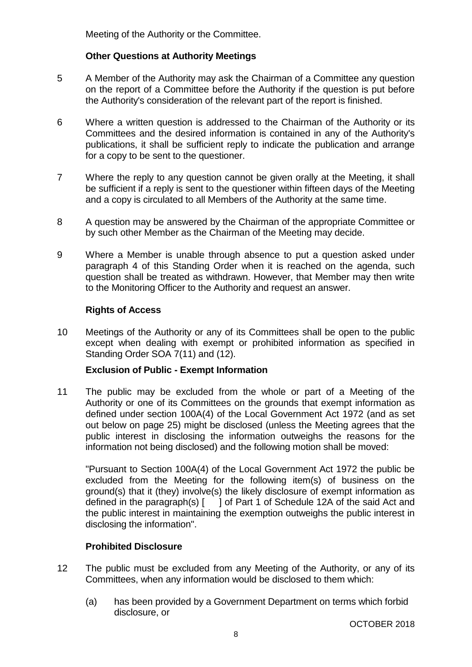Meeting of the Authority or the Committee.

# **Other Questions at Authority Meetings**

- 5 A Member of the Authority may ask the Chairman of a Committee any question on the report of a Committee before the Authority if the question is put before the Authority's consideration of the relevant part of the report is finished.
- 6 Where a written question is addressed to the Chairman of the Authority or its Committees and the desired information is contained in any of the Authority's publications, it shall be sufficient reply to indicate the publication and arrange for a copy to be sent to the questioner.
- 7 Where the reply to any question cannot be given orally at the Meeting, it shall be sufficient if a reply is sent to the questioner within fifteen days of the Meeting and a copy is circulated to all Members of the Authority at the same time.
- 8 A question may be answered by the Chairman of the appropriate Committee or by such other Member as the Chairman of the Meeting may decide.
- 9 Where a Member is unable through absence to put a question asked under paragraph 4 of this Standing Order when it is reached on the agenda, such question shall be treated as withdrawn. However, that Member may then write to the Monitoring Officer to the Authority and request an answer.

# **Rights of Access**

10 Meetings of the Authority or any of its Committees shall be open to the public except when dealing with exempt or prohibited information as specified in Standing Order SOA 7(11) and (12).

# **Exclusion of Public - Exempt Information**

11 The public may be excluded from the whole or part of a Meeting of the Authority or one of its Committees on the grounds that exempt information as defined under section 100A(4) of the Local Government Act 1972 (and as set out below on page 25) might be disclosed (unless the Meeting agrees that the public interest in disclosing the information outweighs the reasons for the information not being disclosed) and the following motion shall be moved:

"Pursuant to Section 100A(4) of the Local Government Act 1972 the public be excluded from the Meeting for the following item(s) of business on the ground(s) that it (they) involve(s) the likely disclosure of exempt information as defined in the paragraph(s) [ ] of Part 1 of Schedule 12A of the said Act and the public interest in maintaining the exemption outweighs the public interest in disclosing the information".

# **Prohibited Disclosure**

- 12 The public must be excluded from any Meeting of the Authority, or any of its Committees, when any information would be disclosed to them which:
	- (a) has been provided by a Government Department on terms which forbid disclosure, or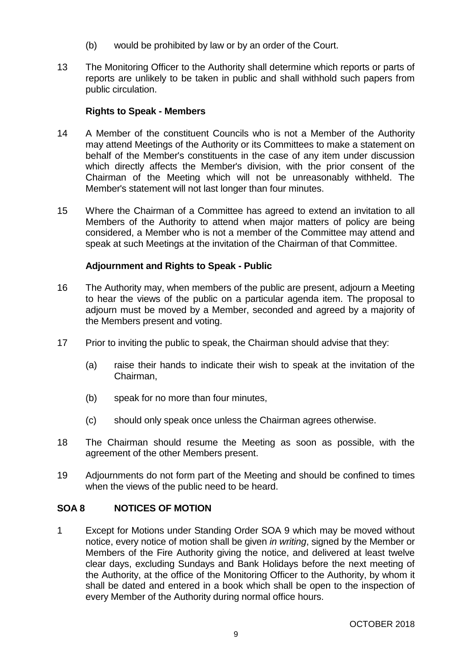- (b) would be prohibited by law or by an order of the Court.
- 13 The Monitoring Officer to the Authority shall determine which reports or parts of reports are unlikely to be taken in public and shall withhold such papers from public circulation.

# **Rights to Speak - Members**

- 14 A Member of the constituent Councils who is not a Member of the Authority may attend Meetings of the Authority or its Committees to make a statement on behalf of the Member's constituents in the case of any item under discussion which directly affects the Member's division, with the prior consent of the Chairman of the Meeting which will not be unreasonably withheld. The Member's statement will not last longer than four minutes.
- 15 Where the Chairman of a Committee has agreed to extend an invitation to all Members of the Authority to attend when major matters of policy are being considered, a Member who is not a member of the Committee may attend and speak at such Meetings at the invitation of the Chairman of that Committee.

# **Adjournment and Rights to Speak - Public**

- 16 The Authority may, when members of the public are present, adjourn a Meeting to hear the views of the public on a particular agenda item. The proposal to adjourn must be moved by a Member, seconded and agreed by a majority of the Members present and voting.
- 17 Prior to inviting the public to speak, the Chairman should advise that they:
	- (a) raise their hands to indicate their wish to speak at the invitation of the Chairman,
	- (b) speak for no more than four minutes,
	- (c) should only speak once unless the Chairman agrees otherwise.
- 18 The Chairman should resume the Meeting as soon as possible, with the agreement of the other Members present.
- 19 Adjournments do not form part of the Meeting and should be confined to times when the views of the public need to be heard.

# **SOA 8 NOTICES OF MOTION**

1 Except for Motions under Standing Order SOA 9 which may be moved without notice, every notice of motion shall be given *in writing*, signed by the Member or Members of the Fire Authority giving the notice, and delivered at least twelve clear days, excluding Sundays and Bank Holidays before the next meeting of the Authority, at the office of the Monitoring Officer to the Authority, by whom it shall be dated and entered in a book which shall be open to the inspection of every Member of the Authority during normal office hours.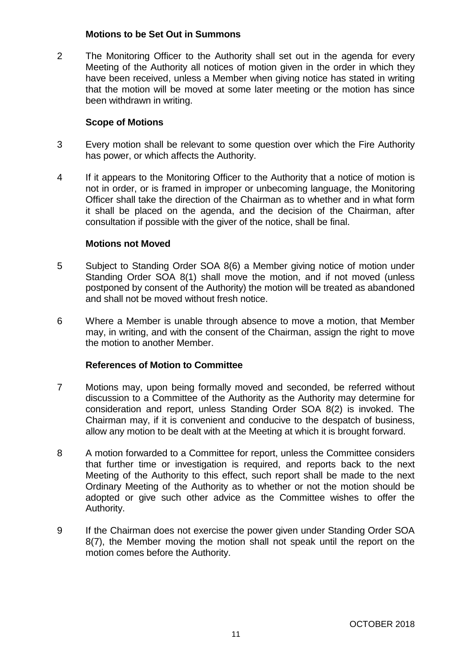#### **Motions to be Set Out in Summons**

2 The Monitoring Officer to the Authority shall set out in the agenda for every Meeting of the Authority all notices of motion given in the order in which they have been received, unless a Member when giving notice has stated in writing that the motion will be moved at some later meeting or the motion has since been withdrawn in writing.

# **Scope of Motions**

- 3 Every motion shall be relevant to some question over which the Fire Authority has power, or which affects the Authority.
- 4 If it appears to the Monitoring Officer to the Authority that a notice of motion is not in order, or is framed in improper or unbecoming language, the Monitoring Officer shall take the direction of the Chairman as to whether and in what form it shall be placed on the agenda, and the decision of the Chairman, after consultation if possible with the giver of the notice, shall be final.

# **Motions not Moved**

- 5 Subject to Standing Order SOA 8(6) a Member giving notice of motion under Standing Order SOA 8(1) shall move the motion, and if not moved (unless postponed by consent of the Authority) the motion will be treated as abandoned and shall not be moved without fresh notice.
- 6 Where a Member is unable through absence to move a motion, that Member may, in writing, and with the consent of the Chairman, assign the right to move the motion to another Member.

# **References of Motion to Committee**

- 7 Motions may, upon being formally moved and seconded, be referred without discussion to a Committee of the Authority as the Authority may determine for consideration and report, unless Standing Order SOA 8(2) is invoked. The Chairman may, if it is convenient and conducive to the despatch of business, allow any motion to be dealt with at the Meeting at which it is brought forward.
- 8 A motion forwarded to a Committee for report, unless the Committee considers that further time or investigation is required, and reports back to the next Meeting of the Authority to this effect, such report shall be made to the next Ordinary Meeting of the Authority as to whether or not the motion should be adopted or give such other advice as the Committee wishes to offer the Authority.
- 9 If the Chairman does not exercise the power given under Standing Order SOA 8(7), the Member moving the motion shall not speak until the report on the motion comes before the Authority.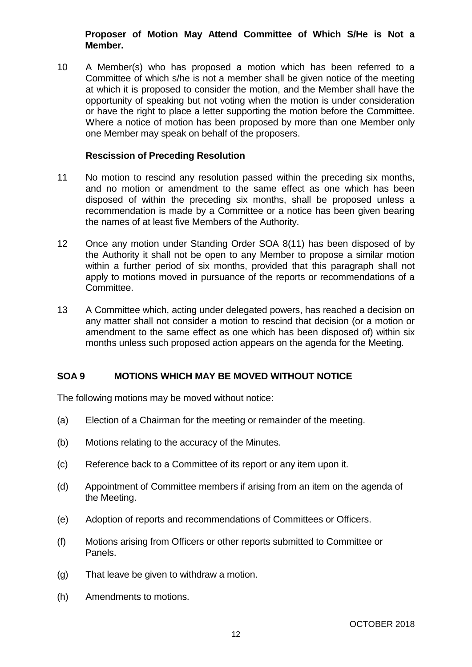# **Proposer of Motion May Attend Committee of Which S/He is Not a Member.**

10 A Member(s) who has proposed a motion which has been referred to a Committee of which s/he is not a member shall be given notice of the meeting at which it is proposed to consider the motion, and the Member shall have the opportunity of speaking but not voting when the motion is under consideration or have the right to place a letter supporting the motion before the Committee. Where a notice of motion has been proposed by more than one Member only one Member may speak on behalf of the proposers.

### **Rescission of Preceding Resolution**

- 11 No motion to rescind any resolution passed within the preceding six months, and no motion or amendment to the same effect as one which has been disposed of within the preceding six months, shall be proposed unless a recommendation is made by a Committee or a notice has been given bearing the names of at least five Members of the Authority.
- 12 Once any motion under Standing Order SOA 8(11) has been disposed of by the Authority it shall not be open to any Member to propose a similar motion within a further period of six months, provided that this paragraph shall not apply to motions moved in pursuance of the reports or recommendations of a Committee.
- 13 A Committee which, acting under delegated powers, has reached a decision on any matter shall not consider a motion to rescind that decision (or a motion or amendment to the same effect as one which has been disposed of) within six months unless such proposed action appears on the agenda for the Meeting.

# **SOA 9 MOTIONS WHICH MAY BE MOVED WITHOUT NOTICE**

The following motions may be moved without notice:

- (a) Election of a Chairman for the meeting or remainder of the meeting.
- (b) Motions relating to the accuracy of the Minutes.
- (c) Reference back to a Committee of its report or any item upon it.
- (d) Appointment of Committee members if arising from an item on the agenda of the Meeting.
- (e) Adoption of reports and recommendations of Committees or Officers.
- (f) Motions arising from Officers or other reports submitted to Committee or Panels.
- (g) That leave be given to withdraw a motion.
- (h) Amendments to motions.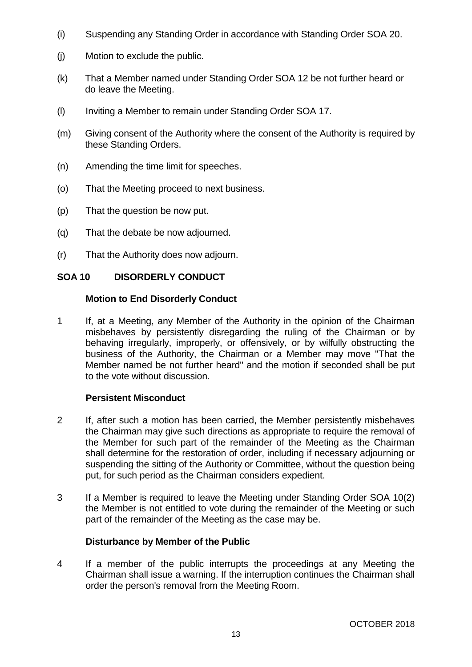- (i) Suspending any Standing Order in accordance with Standing Order SOA 20.
- (j) Motion to exclude the public.
- (k) That a Member named under Standing Order SOA 12 be not further heard or do leave the Meeting.
- (l) Inviting a Member to remain under Standing Order SOA 17.
- (m) Giving consent of the Authority where the consent of the Authority is required by these Standing Orders.
- (n) Amending the time limit for speeches.
- (o) That the Meeting proceed to next business.
- (p) That the question be now put.
- (q) That the debate be now adjourned.
- (r) That the Authority does now adjourn.

# **SOA 10 DISORDERLY CONDUCT**

#### **Motion to End Disorderly Conduct**

1 If, at a Meeting, any Member of the Authority in the opinion of the Chairman misbehaves by persistently disregarding the ruling of the Chairman or by behaving irregularly, improperly, or offensively, or by wilfully obstructing the business of the Authority, the Chairman or a Member may move "That the Member named be not further heard" and the motion if seconded shall be put to the vote without discussion.

# **Persistent Misconduct**

- 2 If, after such a motion has been carried, the Member persistently misbehaves the Chairman may give such directions as appropriate to require the removal of the Member for such part of the remainder of the Meeting as the Chairman shall determine for the restoration of order, including if necessary adjourning or suspending the sitting of the Authority or Committee, without the question being put, for such period as the Chairman considers expedient.
- 3 If a Member is required to leave the Meeting under Standing Order SOA 10(2) the Member is not entitled to vote during the remainder of the Meeting or such part of the remainder of the Meeting as the case may be.

# **Disturbance by Member of the Public**

4 If a member of the public interrupts the proceedings at any Meeting the Chairman shall issue a warning. If the interruption continues the Chairman shall order the person's removal from the Meeting Room.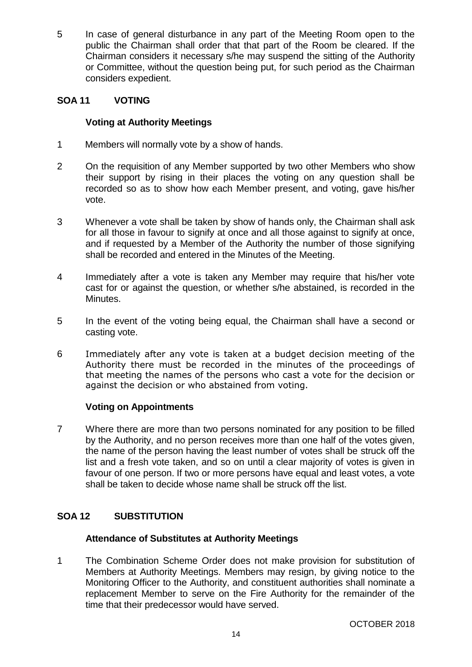5 In case of general disturbance in any part of the Meeting Room open to the public the Chairman shall order that that part of the Room be cleared. If the Chairman considers it necessary s/he may suspend the sitting of the Authority or Committee, without the question being put, for such period as the Chairman considers expedient.

# **SOA 11 VOTING**

# **Voting at Authority Meetings**

- 1 Members will normally vote by a show of hands.
- 2 On the requisition of any Member supported by two other Members who show their support by rising in their places the voting on any question shall be recorded so as to show how each Member present, and voting, gave his/her vote.
- 3 Whenever a vote shall be taken by show of hands only, the Chairman shall ask for all those in favour to signify at once and all those against to signify at once, and if requested by a Member of the Authority the number of those signifying shall be recorded and entered in the Minutes of the Meeting.
- 4 Immediately after a vote is taken any Member may require that his/her vote cast for or against the question, or whether s/he abstained, is recorded in the Minutes.
- 5 In the event of the voting being equal, the Chairman shall have a second or casting vote.
- 6 Immediately after any vote is taken at a budget decision meeting of the Authority there must be recorded in the minutes of the proceedings of that meeting the names of the persons who cast a vote for the decision or against the decision or who abstained from voting.

# **Voting on Appointments**

7 Where there are more than two persons nominated for any position to be filled by the Authority, and no person receives more than one half of the votes given, the name of the person having the least number of votes shall be struck off the list and a fresh vote taken, and so on until a clear majority of votes is given in favour of one person. If two or more persons have equal and least votes, a vote shall be taken to decide whose name shall be struck off the list.

# **SOA 12 SUBSTITUTION**

# **Attendance of Substitutes at Authority Meetings**

1 The Combination Scheme Order does not make provision for substitution of Members at Authority Meetings. Members may resign, by giving notice to the Monitoring Officer to the Authority, and constituent authorities shall nominate a replacement Member to serve on the Fire Authority for the remainder of the time that their predecessor would have served.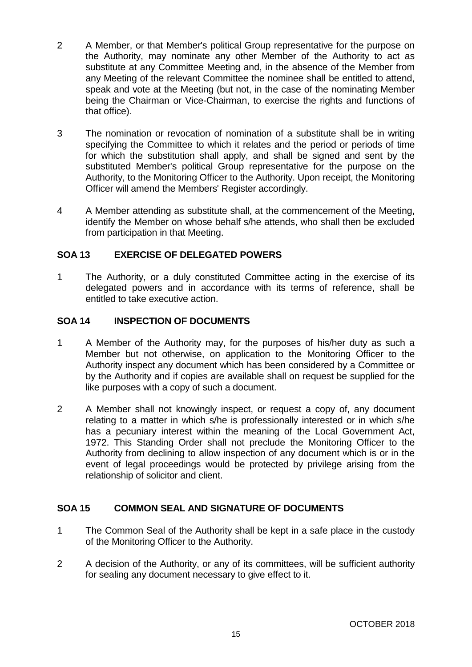- 2 A Member, or that Member's political Group representative for the purpose on the Authority, may nominate any other Member of the Authority to act as substitute at any Committee Meeting and, in the absence of the Member from any Meeting of the relevant Committee the nominee shall be entitled to attend, speak and vote at the Meeting (but not, in the case of the nominating Member being the Chairman or Vice-Chairman, to exercise the rights and functions of that office).
- 3 The nomination or revocation of nomination of a substitute shall be in writing specifying the Committee to which it relates and the period or periods of time for which the substitution shall apply, and shall be signed and sent by the substituted Member's political Group representative for the purpose on the Authority, to the Monitoring Officer to the Authority. Upon receipt, the Monitoring Officer will amend the Members' Register accordingly.
- 4 A Member attending as substitute shall, at the commencement of the Meeting, identify the Member on whose behalf s/he attends, who shall then be excluded from participation in that Meeting.

# **SOA 13 EXERCISE OF DELEGATED POWERS**

1 The Authority, or a duly constituted Committee acting in the exercise of its delegated powers and in accordance with its terms of reference, shall be entitled to take executive action.

# **SOA 14 INSPECTION OF DOCUMENTS**

- 1 A Member of the Authority may, for the purposes of his/her duty as such a Member but not otherwise, on application to the Monitoring Officer to the Authority inspect any document which has been considered by a Committee or by the Authority and if copies are available shall on request be supplied for the like purposes with a copy of such a document.
- 2 A Member shall not knowingly inspect, or request a copy of, any document relating to a matter in which s/he is professionally interested or in which s/he has a pecuniary interest within the meaning of the Local Government Act, 1972. This Standing Order shall not preclude the Monitoring Officer to the Authority from declining to allow inspection of any document which is or in the event of legal proceedings would be protected by privilege arising from the relationship of solicitor and client.

# **SOA 15 COMMON SEAL AND SIGNATURE OF DOCUMENTS**

- 1 The Common Seal of the Authority shall be kept in a safe place in the custody of the Monitoring Officer to the Authority.
- 2 A decision of the Authority, or any of its committees, will be sufficient authority for sealing any document necessary to give effect to it.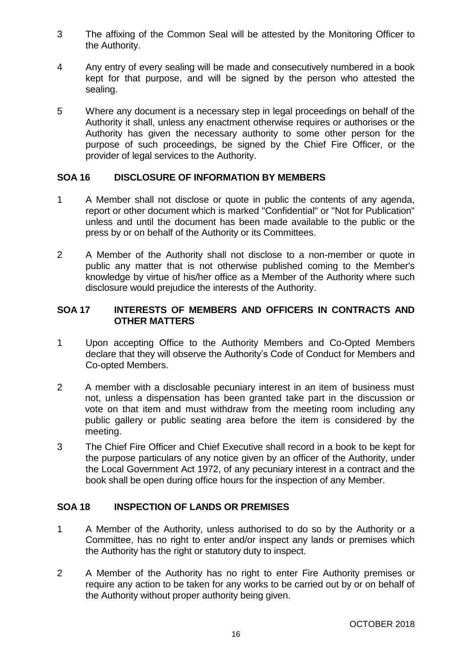- 3 The affixing of the Common Seal will be attested by the Monitoring Officer to the Authority.
- 4 Any entry of every sealing will be made and consecutively numbered in a book kept for that purpose, and will be signed by the person who attested the sealing.
- 5 Where any document is a necessary step in legal proceedings on behalf of the Authority it shall, unless any enactment otherwise requires or authorises or the Authority has given the necessary authority to some other person for the purpose of such proceedings, be signed by the Chief Fire Officer, or the provider of legal services to the Authority.

# **SOA 16 DISCLOSURE OF INFORMATION BY MEMBERS**

- 1 A Member shall not disclose or quote in public the contents of any agenda, report or other document which is marked "Confidential" or "Not for Publication" unless and until the document has been made available to the public or the press by or on behalf of the Authority or its Committees.
- 2 A Member of the Authority shall not disclose to a non-member or quote in public any matter that is not otherwise published coming to the Member's knowledge by virtue of his/her office as a Member of the Authority where such disclosure would prejudice the interests of the Authority.

# **SOA 17 INTERESTS OF MEMBERS AND OFFICERS IN CONTRACTS AND OTHER MATTERS**

- 1 Upon accepting Office to the Authority Members and Co-Opted Members declare that they will observe the Authority's Code of Conduct for Members and Co-opted Members.
- 2 A member with a disclosable pecuniary interest in an item of business must not, unless a dispensation has been granted take part in the discussion or vote on that item and must withdraw from the meeting room including any public gallery or public seating area before the item is considered by the meeting.
- 3 The Chief Fire Officer and Chief Executive shall record in a book to be kept for the purpose particulars of any notice given by an officer of the Authority, under the Local Government Act 1972, of any pecuniary interest in a contract and the book shall be open during office hours for the inspection of any Member.

# **SOA 18 INSPECTION OF LANDS OR PREMISES**

- 1 A Member of the Authority, unless authorised to do so by the Authority or a Committee, has no right to enter and/or inspect any lands or premises which the Authority has the right or statutory duty to inspect.
- 2 A Member of the Authority has no right to enter Fire Authority premises or require any action to be taken for any works to be carried out by or on behalf of the Authority without proper authority being given.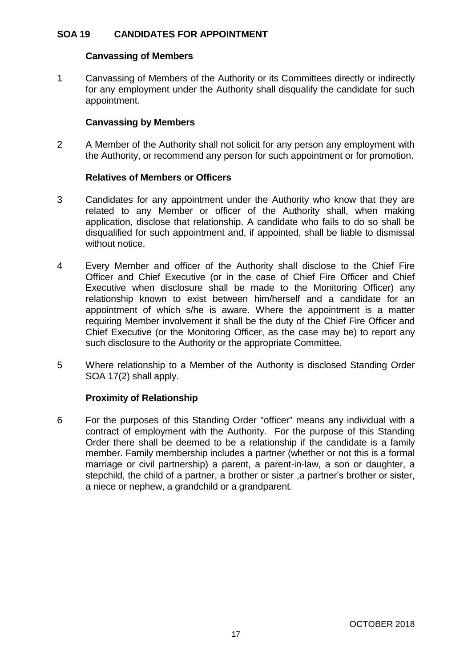# **SOA 19 CANDIDATES FOR APPOINTMENT**

#### **Canvassing of Members**

1 Canvassing of Members of the Authority or its Committees directly or indirectly for any employment under the Authority shall disqualify the candidate for such appointment.

# **Canvassing by Members**

2 A Member of the Authority shall not solicit for any person any employment with the Authority, or recommend any person for such appointment or for promotion.

# **Relatives of Members or Officers**

- 3 Candidates for any appointment under the Authority who know that they are related to any Member or officer of the Authority shall, when making application, disclose that relationship. A candidate who fails to do so shall be disqualified for such appointment and, if appointed, shall be liable to dismissal without notice.
- 4 Every Member and officer of the Authority shall disclose to the Chief Fire Officer and Chief Executive (or in the case of Chief Fire Officer and Chief Executive when disclosure shall be made to the Monitoring Officer) any relationship known to exist between him/herself and a candidate for an appointment of which s/he is aware. Where the appointment is a matter requiring Member involvement it shall be the duty of the Chief Fire Officer and Chief Executive (or the Monitoring Officer, as the case may be) to report any such disclosure to the Authority or the appropriate Committee.
- 5 Where relationship to a Member of the Authority is disclosed Standing Order SOA 17(2) shall apply.

# **Proximity of Relationship**

6 For the purposes of this Standing Order "officer" means any individual with a contract of employment with the Authority. For the purpose of this Standing Order there shall be deemed to be a relationship if the candidate is a family member. Family membership includes a partner (whether or not this is a formal marriage or civil partnership) a parent, a parent-in-law, a son or daughter, a stepchild, the child of a partner, a brother or sister ,a partner's brother or sister, a niece or nephew, a grandchild or a grandparent.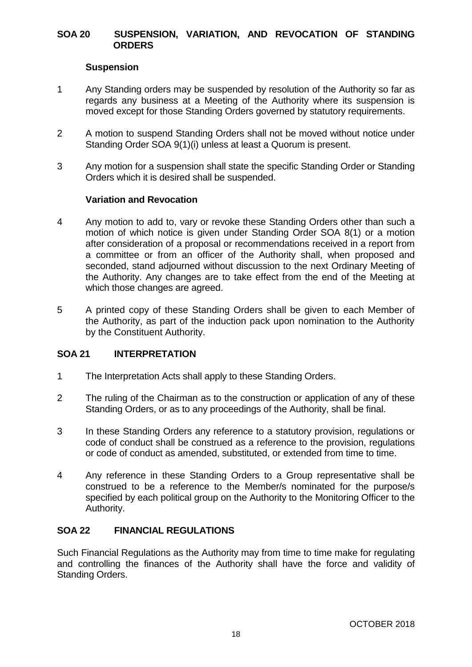# **SOA 20 SUSPENSION, VARIATION, AND REVOCATION OF STANDING ORDERS**

# **Suspension**

- 1 Any Standing orders may be suspended by resolution of the Authority so far as regards any business at a Meeting of the Authority where its suspension is moved except for those Standing Orders governed by statutory requirements.
- 2 A motion to suspend Standing Orders shall not be moved without notice under Standing Order SOA 9(1)(i) unless at least a Quorum is present.
- 3 Any motion for a suspension shall state the specific Standing Order or Standing Orders which it is desired shall be suspended.

#### **Variation and Revocation**

- 4 Any motion to add to, vary or revoke these Standing Orders other than such a motion of which notice is given under Standing Order SOA 8(1) or a motion after consideration of a proposal or recommendations received in a report from a committee or from an officer of the Authority shall, when proposed and seconded, stand adjourned without discussion to the next Ordinary Meeting of the Authority. Any changes are to take effect from the end of the Meeting at which those changes are agreed.
- 5 A printed copy of these Standing Orders shall be given to each Member of the Authority, as part of the induction pack upon nomination to the Authority by the Constituent Authority.

# **SOA 21 INTERPRETATION**

- 1 The Interpretation Acts shall apply to these Standing Orders.
- 2 The ruling of the Chairman as to the construction or application of any of these Standing Orders, or as to any proceedings of the Authority, shall be final.
- 3 In these Standing Orders any reference to a statutory provision, regulations or code of conduct shall be construed as a reference to the provision, regulations or code of conduct as amended, substituted, or extended from time to time.
- 4 Any reference in these Standing Orders to a Group representative shall be construed to be a reference to the Member/s nominated for the purpose/s specified by each political group on the Authority to the Monitoring Officer to the Authority.

#### **SOA 22 FINANCIAL REGULATIONS**

Such Financial Regulations as the Authority may from time to time make for regulating and controlling the finances of the Authority shall have the force and validity of Standing Orders.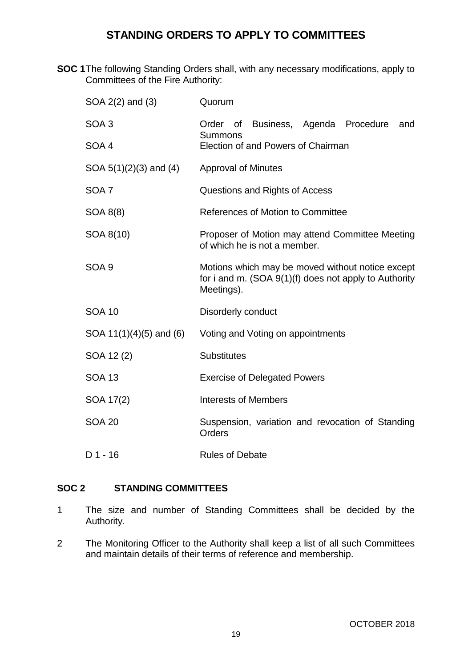# **STANDING ORDERS TO APPLY TO COMMITTEES**

**SOC 1**The following Standing Orders shall, with any necessary modifications, apply to Committees of the Fire Authority:

| SOA 2(2) and (3)            | Quorum                                                                                                                    |
|-----------------------------|---------------------------------------------------------------------------------------------------------------------------|
| SOA <sub>3</sub>            | Order of Business, Agenda Procedure<br>and<br><b>Summons</b>                                                              |
| SOA 4                       | Election of and Powers of Chairman                                                                                        |
| SOA $5(1)(2)(3)$ and $(4)$  | <b>Approval of Minutes</b>                                                                                                |
| SOA <sub>7</sub>            | Questions and Rights of Access                                                                                            |
| SOA 8(8)                    | References of Motion to Committee                                                                                         |
| SOA 8(10)                   | Proposer of Motion may attend Committee Meeting<br>of which he is not a member.                                           |
| SOA <sub>9</sub>            | Motions which may be moved without notice except<br>for i and m. $(SOA 9(1)(f)$ does not apply to Authority<br>Meetings). |
| <b>SOA 10</b>               | Disorderly conduct                                                                                                        |
| SOA $11(1)(4)(5)$ and $(6)$ | Voting and Voting on appointments                                                                                         |
| SOA 12(2)                   | <b>Substitutes</b>                                                                                                        |
| <b>SOA 13</b>               | <b>Exercise of Delegated Powers</b>                                                                                       |
| SOA 17(2)                   | <b>Interests of Members</b>                                                                                               |
| <b>SOA 20</b>               | Suspension, variation and revocation of Standing<br>Orders                                                                |
| $D$ 1 - 16                  | <b>Rules of Debate</b>                                                                                                    |

# **SOC 2 STANDING COMMITTEES**

- 1 The size and number of Standing Committees shall be decided by the Authority.
- 2 The Monitoring Officer to the Authority shall keep a list of all such Committees and maintain details of their terms of reference and membership.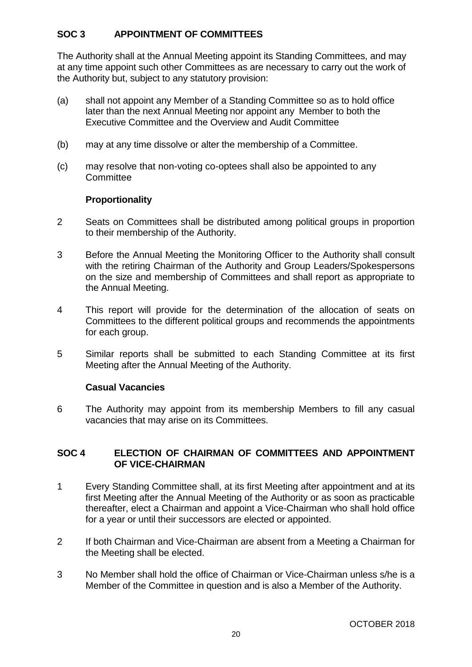# **SOC 3 APPOINTMENT OF COMMITTEES**

The Authority shall at the Annual Meeting appoint its Standing Committees, and may at any time appoint such other Committees as are necessary to carry out the work of the Authority but, subject to any statutory provision:

- (a) shall not appoint any Member of a Standing Committee so as to hold office later than the next Annual Meeting nor appoint any Member to both the Executive Committee and the Overview and Audit Committee
- (b) may at any time dissolve or alter the membership of a Committee.
- (c) may resolve that non-voting co-optees shall also be appointed to any **Committee**

# **Proportionality**

- 2 Seats on Committees shall be distributed among political groups in proportion to their membership of the Authority.
- 3 Before the Annual Meeting the Monitoring Officer to the Authority shall consult with the retiring Chairman of the Authority and Group Leaders/Spokespersons on the size and membership of Committees and shall report as appropriate to the Annual Meeting.
- 4 This report will provide for the determination of the allocation of seats on Committees to the different political groups and recommends the appointments for each group.
- 5 Similar reports shall be submitted to each Standing Committee at its first Meeting after the Annual Meeting of the Authority.

# **Casual Vacancies**

6 The Authority may appoint from its membership Members to fill any casual vacancies that may arise on its Committees.

#### **SOC 4 ELECTION OF CHAIRMAN OF COMMITTEES AND APPOINTMENT OF VICE-CHAIRMAN**

- 1 Every Standing Committee shall, at its first Meeting after appointment and at its first Meeting after the Annual Meeting of the Authority or as soon as practicable thereafter, elect a Chairman and appoint a Vice-Chairman who shall hold office for a year or until their successors are elected or appointed.
- 2 If both Chairman and Vice-Chairman are absent from a Meeting a Chairman for the Meeting shall be elected.
- 3 No Member shall hold the office of Chairman or Vice-Chairman unless s/he is a Member of the Committee in question and is also a Member of the Authority.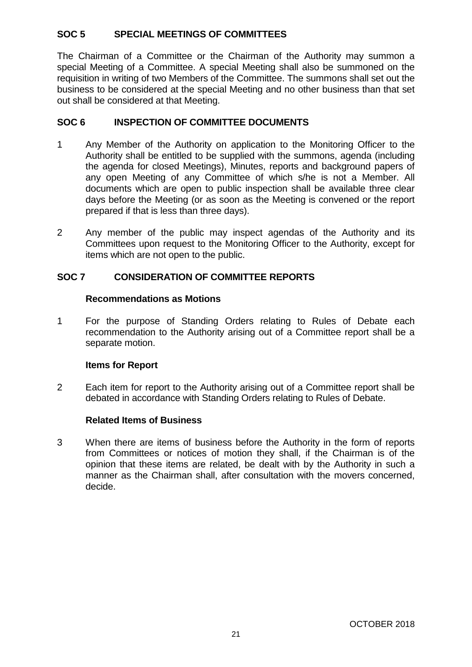# **SOC 5 SPECIAL MEETINGS OF COMMITTEES**

The Chairman of a Committee or the Chairman of the Authority may summon a special Meeting of a Committee. A special Meeting shall also be summoned on the requisition in writing of two Members of the Committee. The summons shall set out the business to be considered at the special Meeting and no other business than that set out shall be considered at that Meeting.

# **SOC 6 INSPECTION OF COMMITTEE DOCUMENTS**

- 1 Any Member of the Authority on application to the Monitoring Officer to the Authority shall be entitled to be supplied with the summons, agenda (including the agenda for closed Meetings), Minutes, reports and background papers of any open Meeting of any Committee of which s/he is not a Member. All documents which are open to public inspection shall be available three clear days before the Meeting (or as soon as the Meeting is convened or the report prepared if that is less than three days).
- 2 Any member of the public may inspect agendas of the Authority and its Committees upon request to the Monitoring Officer to the Authority, except for items which are not open to the public.

# **SOC 7 CONSIDERATION OF COMMITTEE REPORTS**

#### **Recommendations as Motions**

1 For the purpose of Standing Orders relating to Rules of Debate each recommendation to the Authority arising out of a Committee report shall be a separate motion.

# **Items for Report**

2 Each item for report to the Authority arising out of a Committee report shall be debated in accordance with Standing Orders relating to Rules of Debate.

# **Related Items of Business**

3 When there are items of business before the Authority in the form of reports from Committees or notices of motion they shall, if the Chairman is of the opinion that these items are related, be dealt with by the Authority in such a manner as the Chairman shall, after consultation with the movers concerned, decide.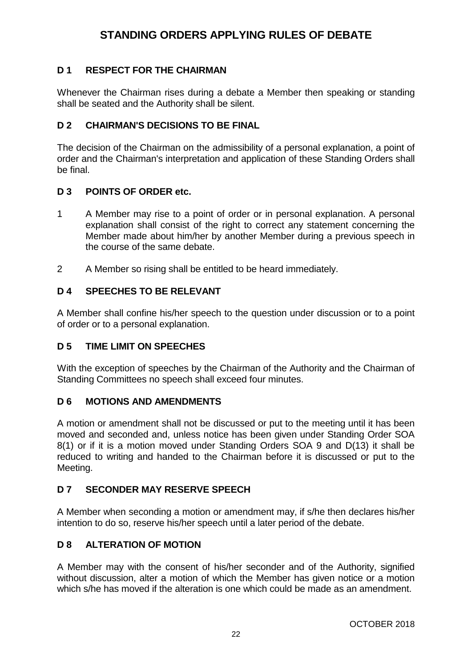# **STANDING ORDERS APPLYING RULES OF DEBATE**

# **D 1 RESPECT FOR THE CHAIRMAN**

Whenever the Chairman rises during a debate a Member then speaking or standing shall be seated and the Authority shall be silent.

# **D 2 CHAIRMAN'S DECISIONS TO BE FINAL**

The decision of the Chairman on the admissibility of a personal explanation, a point of order and the Chairman's interpretation and application of these Standing Orders shall be final.

#### **D 3 POINTS OF ORDER etc.**

- 1 A Member may rise to a point of order or in personal explanation. A personal explanation shall consist of the right to correct any statement concerning the Member made about him/her by another Member during a previous speech in the course of the same debate.
- 2 A Member so rising shall be entitled to be heard immediately.

#### **D 4 SPEECHES TO BE RELEVANT**

A Member shall confine his/her speech to the question under discussion or to a point of order or to a personal explanation.

# **D 5 TIME LIMIT ON SPEECHES**

With the exception of speeches by the Chairman of the Authority and the Chairman of Standing Committees no speech shall exceed four minutes.

#### **D 6 MOTIONS AND AMENDMENTS**

A motion or amendment shall not be discussed or put to the meeting until it has been moved and seconded and, unless notice has been given under Standing Order SOA 8(1) or if it is a motion moved under Standing Orders SOA 9 and D(13) it shall be reduced to writing and handed to the Chairman before it is discussed or put to the Meeting.

# **D 7 SECONDER MAY RESERVE SPEECH**

A Member when seconding a motion or amendment may, if s/he then declares his/her intention to do so, reserve his/her speech until a later period of the debate.

# **D 8 ALTERATION OF MOTION**

A Member may with the consent of his/her seconder and of the Authority, signified without discussion, alter a motion of which the Member has given notice or a motion which s/he has moved if the alteration is one which could be made as an amendment.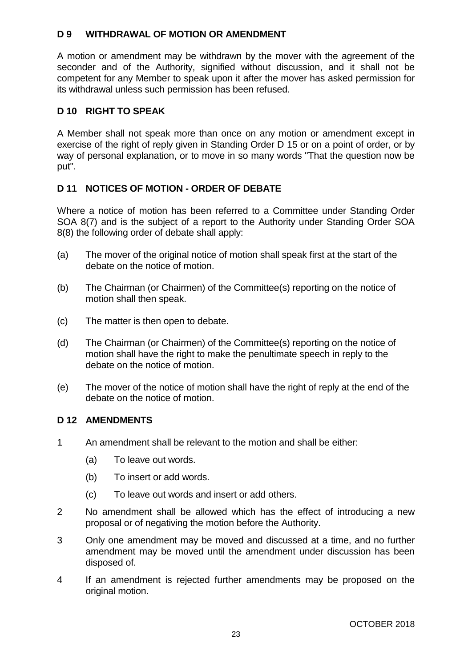# **D 9 WITHDRAWAL OF MOTION OR AMENDMENT**

A motion or amendment may be withdrawn by the mover with the agreement of the seconder and of the Authority, signified without discussion, and it shall not be competent for any Member to speak upon it after the mover has asked permission for its withdrawal unless such permission has been refused.

### **D 10 RIGHT TO SPEAK**

A Member shall not speak more than once on any motion or amendment except in exercise of the right of reply given in Standing Order D 15 or on a point of order, or by way of personal explanation, or to move in so many words "That the question now be put".

# **D 11 NOTICES OF MOTION - ORDER OF DEBATE**

Where a notice of motion has been referred to a Committee under Standing Order SOA 8(7) and is the subject of a report to the Authority under Standing Order SOA 8(8) the following order of debate shall apply:

- (a) The mover of the original notice of motion shall speak first at the start of the debate on the notice of motion.
- (b) The Chairman (or Chairmen) of the Committee(s) reporting on the notice of motion shall then speak.
- (c) The matter is then open to debate.
- (d) The Chairman (or Chairmen) of the Committee(s) reporting on the notice of motion shall have the right to make the penultimate speech in reply to the debate on the notice of motion.
- (e) The mover of the notice of motion shall have the right of reply at the end of the debate on the notice of motion.

# **D 12 AMENDMENTS**

- 1 An amendment shall be relevant to the motion and shall be either:
	- (a) To leave out words.
	- (b) To insert or add words.
	- (c) To leave out words and insert or add others.
- 2 No amendment shall be allowed which has the effect of introducing a new proposal or of negativing the motion before the Authority.
- 3 Only one amendment may be moved and discussed at a time, and no further amendment may be moved until the amendment under discussion has been disposed of.
- 4 If an amendment is rejected further amendments may be proposed on the original motion.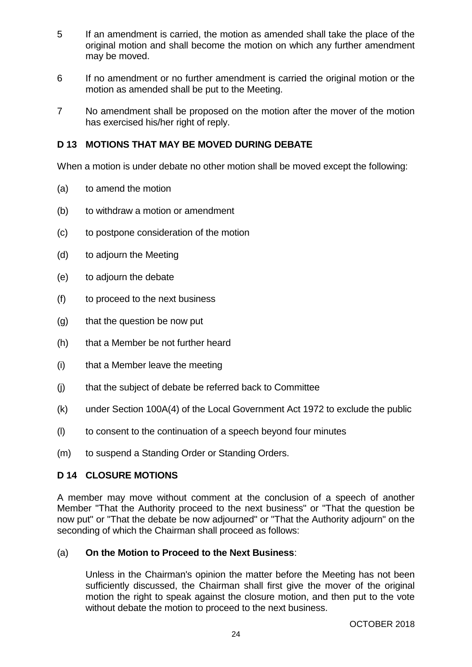- 5 If an amendment is carried, the motion as amended shall take the place of the original motion and shall become the motion on which any further amendment may be moved.
- 6 If no amendment or no further amendment is carried the original motion or the motion as amended shall be put to the Meeting.
- 7 No amendment shall be proposed on the motion after the mover of the motion has exercised his/her right of reply.

# **D 13 MOTIONS THAT MAY BE MOVED DURING DEBATE**

When a motion is under debate no other motion shall be moved except the following:

- (a) to amend the motion
- (b) to withdraw a motion or amendment
- (c) to postpone consideration of the motion
- (d) to adjourn the Meeting
- (e) to adjourn the debate
- (f) to proceed to the next business
- (g) that the question be now put
- (h) that a Member be not further heard
- (i) that a Member leave the meeting
- (j) that the subject of debate be referred back to Committee
- (k) under Section 100A(4) of the Local Government Act 1972 to exclude the public
- (l) to consent to the continuation of a speech beyond four minutes
- (m) to suspend a Standing Order or Standing Orders.

#### **D 14 CLOSURE MOTIONS**

A member may move without comment at the conclusion of a speech of another Member "That the Authority proceed to the next business" or "That the question be now put" or "That the debate be now adjourned" or "That the Authority adjourn" on the seconding of which the Chairman shall proceed as follows:

#### (a) **On the Motion to Proceed to the Next Business**:

Unless in the Chairman's opinion the matter before the Meeting has not been sufficiently discussed, the Chairman shall first give the mover of the original motion the right to speak against the closure motion, and then put to the vote without debate the motion to proceed to the next business.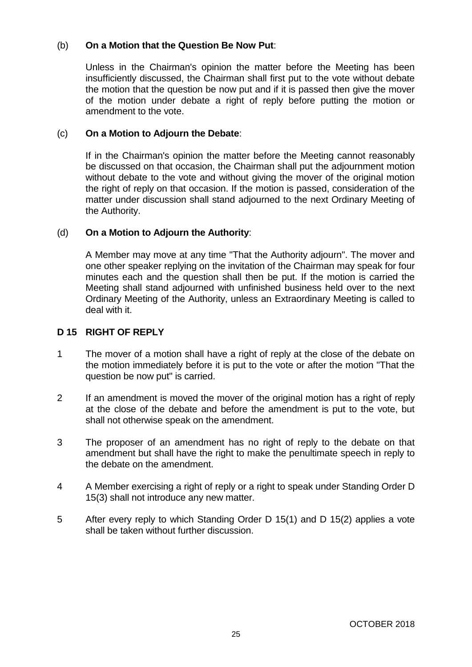# (b) **On a Motion that the Question Be Now Put**:

Unless in the Chairman's opinion the matter before the Meeting has been insufficiently discussed, the Chairman shall first put to the vote without debate the motion that the question be now put and if it is passed then give the mover of the motion under debate a right of reply before putting the motion or amendment to the vote.

### (c) **On a Motion to Adjourn the Debate**:

If in the Chairman's opinion the matter before the Meeting cannot reasonably be discussed on that occasion, the Chairman shall put the adjournment motion without debate to the vote and without giving the mover of the original motion the right of reply on that occasion. If the motion is passed, consideration of the matter under discussion shall stand adjourned to the next Ordinary Meeting of the Authority.

#### (d) **On a Motion to Adjourn the Authority**:

A Member may move at any time "That the Authority adjourn". The mover and one other speaker replying on the invitation of the Chairman may speak for four minutes each and the question shall then be put. If the motion is carried the Meeting shall stand adjourned with unfinished business held over to the next Ordinary Meeting of the Authority, unless an Extraordinary Meeting is called to deal with it.

#### **D 15 RIGHT OF REPLY**

- 1 The mover of a motion shall have a right of reply at the close of the debate on the motion immediately before it is put to the vote or after the motion "That the question be now put" is carried.
- 2 If an amendment is moved the mover of the original motion has a right of reply at the close of the debate and before the amendment is put to the vote, but shall not otherwise speak on the amendment.
- 3 The proposer of an amendment has no right of reply to the debate on that amendment but shall have the right to make the penultimate speech in reply to the debate on the amendment.
- 4 A Member exercising a right of reply or a right to speak under Standing Order D 15(3) shall not introduce any new matter.
- 5 After every reply to which Standing Order D 15(1) and D 15(2) applies a vote shall be taken without further discussion.